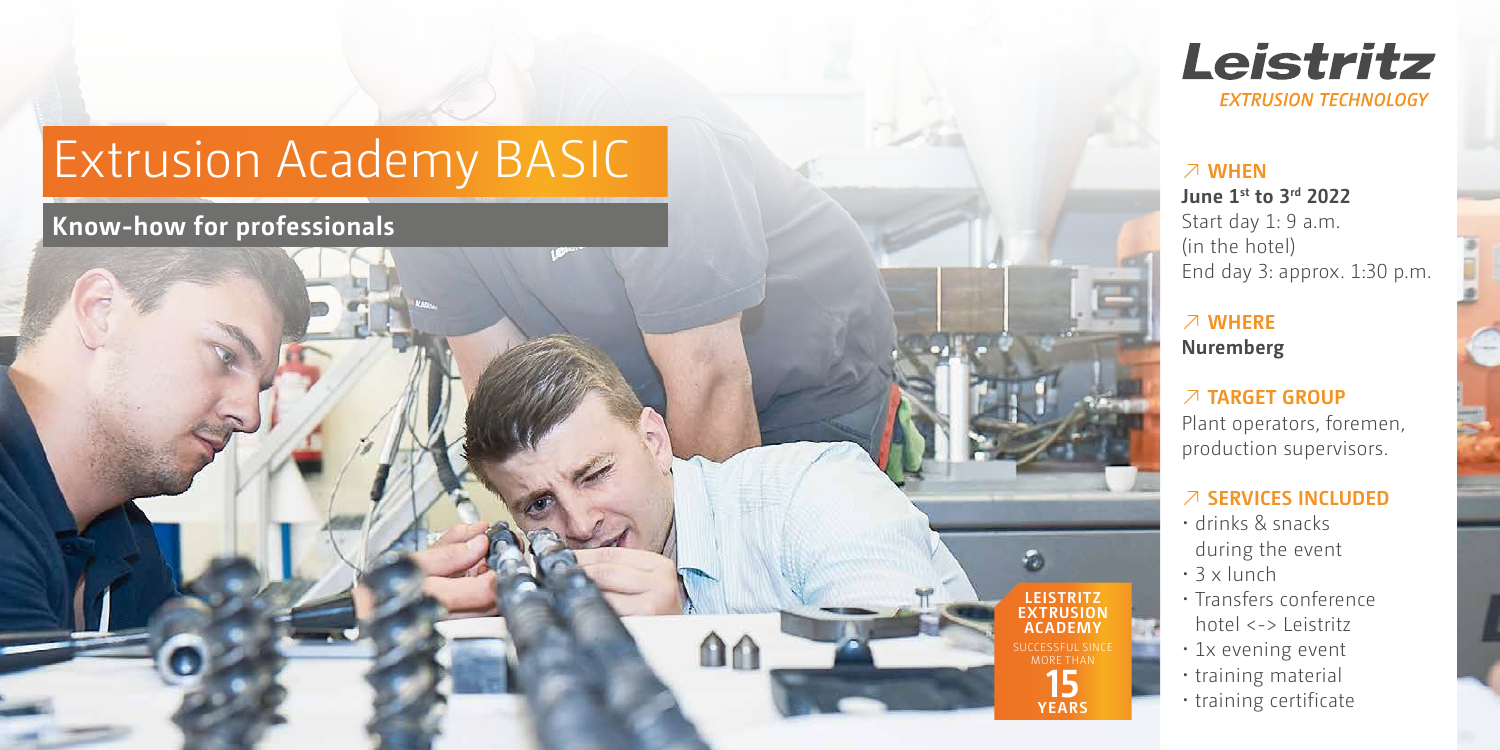# Extrusion Academy BASIC

# **Know-how for professionals**



#### ↗ **WHEN**

**June 1st to 3rd 2022** Start day 1: 9 a.m. (in the hotel) End day 3: approx. 1:30 p.m.

### ↗ **WHERE Nuremberg**

#### ↗ **TARGET GROUP**

Plant operators, foremen, production supervisors.

#### ↗ **SERVICES INCLUDED**

- drinks & snacks during the event
- 3 x lunch

**LEISTRITZ EXTRUSION ACADEMY** MORE THAN **15 YEARS**

 $\Omega$ 

- Transfers conference hotel <-> Leistritz
- 1x evening event
- training material
- training certificate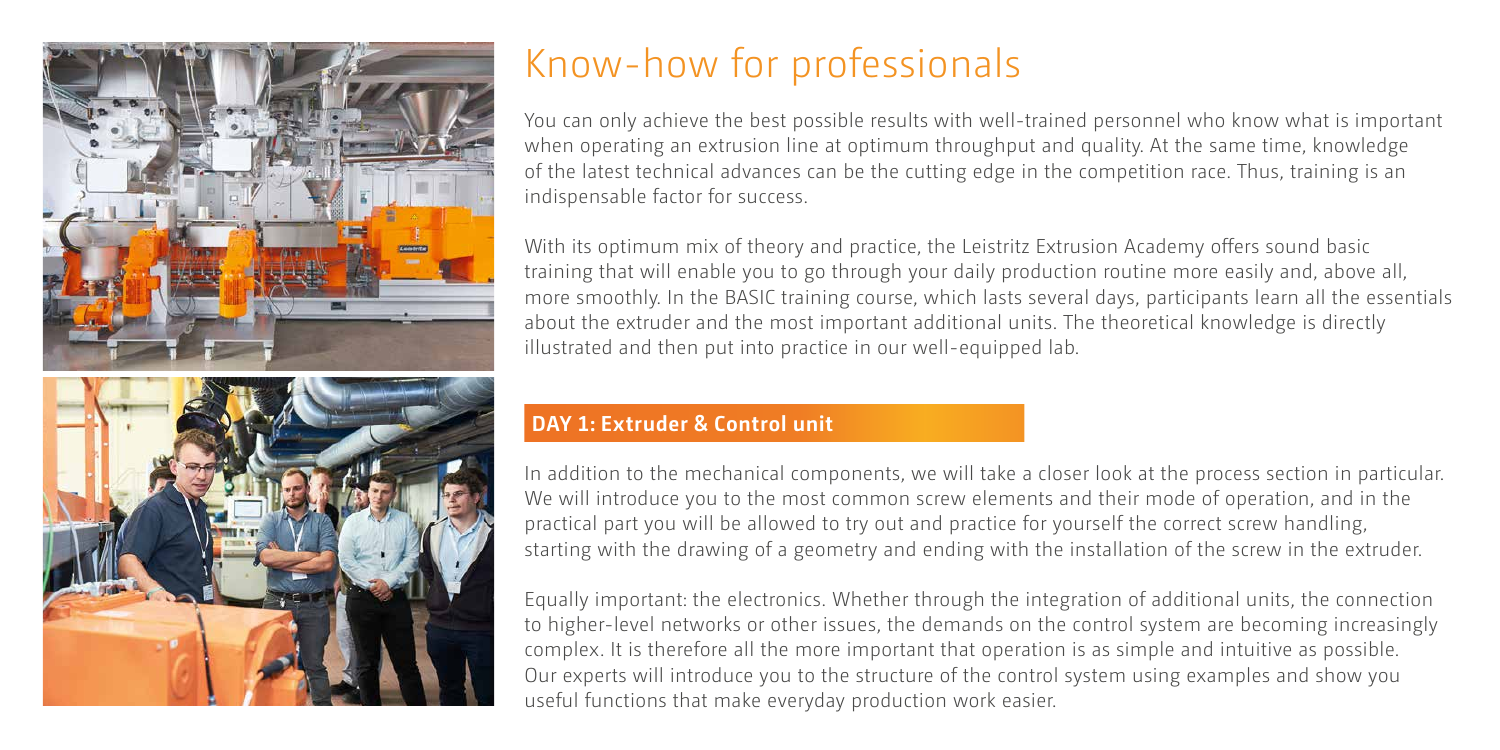



# Know-how for professionals

You can only achieve the best possible results with well-trained personnel who know what is important when operating an extrusion line at optimum throughput and quality. At the same time, knowledge of the latest technical advances can be the cutting edge in the competition race. Thus, training is an indispensable factor for success.

With its optimum mix of theory and practice, the Leistritz Extrusion Academy offers sound basic training that will enable you to go through your daily production routine more easily and, above all, more smoothly. In the BASIC training course, which lasts several days, participants learn all the essentials about the extruder and the most important additional units. The theoretical knowledge is directly illustrated and then put into practice in our well-equipped lab.

#### **DAY 1: Extruder & Control unit**

In addition to the mechanical components, we will take a closer look at the process section in particular. We will introduce you to the most common screw elements and their mode of operation, and in the practical part you will be allowed to try out and practice for yourself the correct screw handling, starting with the drawing of a geometry and ending with the installation of the screw in the extruder.

Equally important: the electronics. Whether through the integration of additional units, the connection to higher-level networks or other issues, the demands on the control system are becoming increasingly complex. It is therefore all the more important that operation is as simple and intuitive as possible. Our experts will introduce you to the structure of the control system using examples and show you useful functions that make everyday production work easier.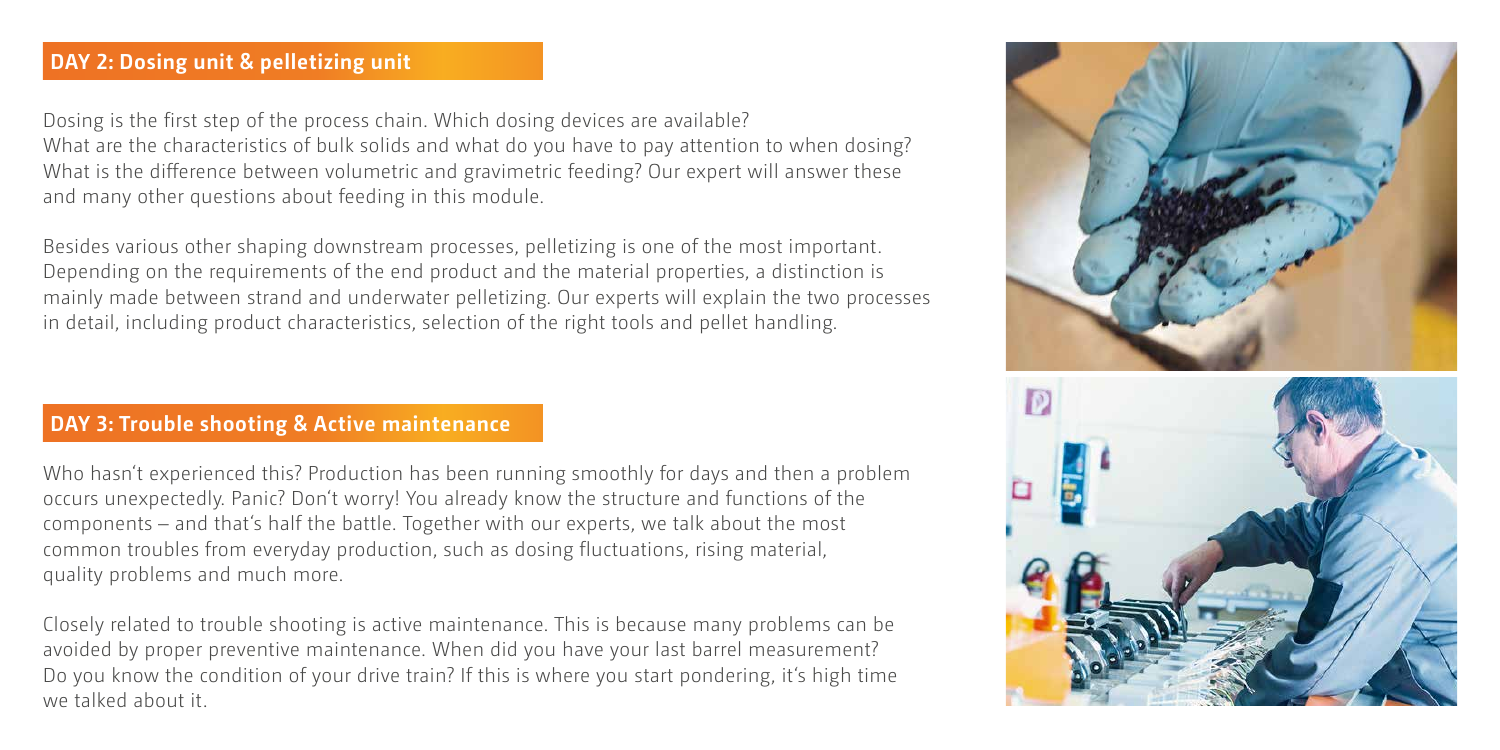#### **DAY 2: Dosing unit & pelletizing unit**

Dosing is the first step of the process chain. Which dosing devices are available? What are the characteristics of bulk solids and what do you have to pay attention to when dosing? What is the difference between volumetric and gravimetric feeding? Our expert will answer these and many other questions about feeding in this module.

Besides various other shaping downstream processes, pelletizing is one of the most important. Depending on the requirements of the end product and the material properties, a distinction is mainly made between strand and underwater pelletizing. Our experts will explain the two processes in detail, including product characteristics, selection of the right tools and pellet handling.

#### **DAY 3: Trouble shooting & Active maintenance**

Who hasn't experienced this? Production has been running smoothly for days and then a problem occurs unexpectedly. Panic? Don't worry! You already know the structure and functions of the components – and that's half the battle. Together with our experts, we talk about the most common troubles from everyday production, such as dosing fluctuations, rising material, quality problems and much more.

Closely related to trouble shooting is active maintenance. This is because many problems can be avoided by proper preventive maintenance. When did you have your last barrel measurement? Do you know the condition of your drive train? If this is where you start pondering, it's high time we talked about it.